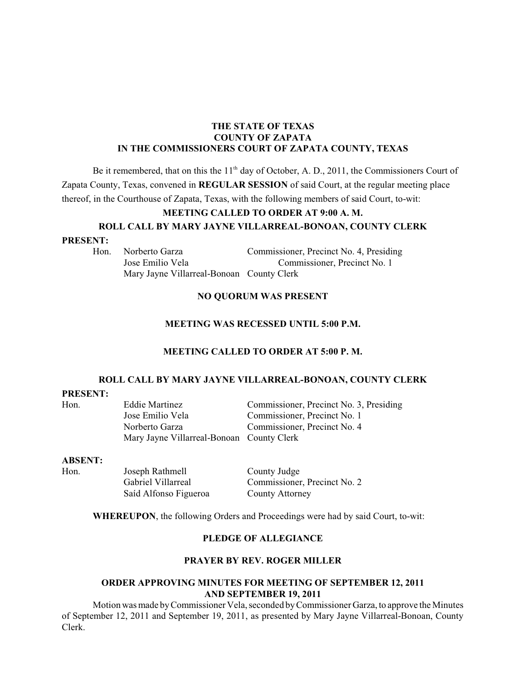#### **THE STATE OF TEXAS COUNTY OF ZAPATA IN THE COMMISSIONERS COURT OF ZAPATA COUNTY, TEXAS**

Be it remembered, that on this the  $11<sup>th</sup>$  day of October, A. D., 2011, the Commissioners Court of Zapata County, Texas, convened in **REGULAR SESSION** of said Court, at the regular meeting place thereof, in the Courthouse of Zapata, Texas, with the following members of said Court, to-wit:

# **MEETING CALLED TO ORDER AT 9:00 A. M. ROLL CALL BY MARY JAYNE VILLARREAL-BONOAN, COUNTY CLERK**

#### **PRESENT:**

Hon. Norberto Garza Commissioner, Precinct No. 4, Presiding Jose Emilio Vela Commissioner, Precinct No. 1 Mary Jayne Villarreal-Bonoan County Clerk

#### **NO QUORUM WAS PRESENT**

#### **MEETING WAS RECESSED UNTIL 5:00 P.M.**

#### **MEETING CALLED TO ORDER AT 5:00 P. M.**

#### **ROLL CALL BY MARY JAYNE VILLARREAL-BONOAN, COUNTY CLERK**

#### **PRESENT:**

| Hon. | Eddie Martinez                            | Commissioner, Precinct No. 3, Presiding |
|------|-------------------------------------------|-----------------------------------------|
|      | Jose Emilio Vela                          | Commissioner, Precinct No. 1            |
|      | Norberto Garza                            | Commissioner, Precinct No. 4            |
|      | Mary Jayne Villarreal-Bonoan County Clerk |                                         |

#### **ABSENT:**

Hon. Joseph Rathmell County Judge Saíd Alfonso Figueroa County Attorney

Gabriel Villarreal Commissioner, Precinct No. 2

**WHEREUPON**, the following Orders and Proceedings were had by said Court, to-wit:

### **PLEDGE OF ALLEGIANCE**

#### **PRAYER BY REV. ROGER MILLER**

#### **ORDER APPROVING MINUTES FOR MEETING OF SEPTEMBER 12, 2011 AND SEPTEMBER 19, 2011**

Motion was made by Commissioner Vela, seconded by Commissioner Garza, to approve the Minutes of September 12, 2011 and September 19, 2011, as presented by Mary Jayne Villarreal-Bonoan, County Clerk.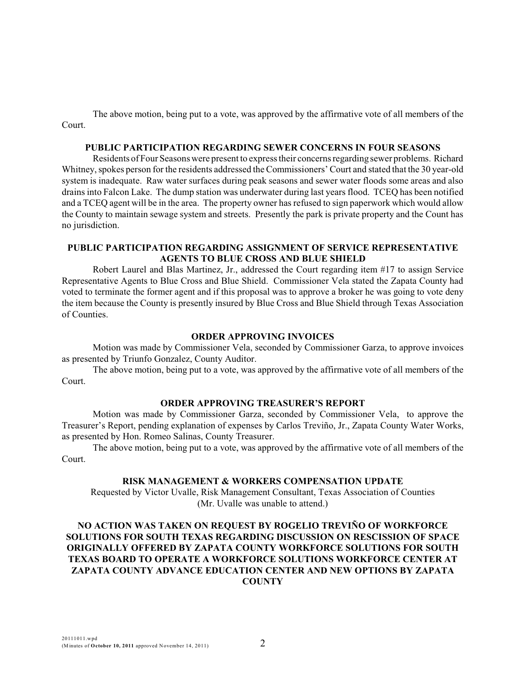The above motion, being put to a vote, was approved by the affirmative vote of all members of the Court.

#### **PUBLIC PARTICIPATION REGARDING SEWER CONCERNS IN FOUR SEASONS**

Residents of Four Seasons were present to express their concerns regarding sewer problems. Richard Whitney, spokes person for the residents addressed the Commissioners' Court and stated that the 30 year-old system is inadequate. Raw water surfaces during peak seasons and sewer water floods some areas and also drains into Falcon Lake. The dump station was underwater during last years flood. TCEQ has been notified and a TCEQ agent will be in the area. The property owner has refused to sign paperwork which would allow the County to maintain sewage system and streets. Presently the park is private property and the Count has no jurisdiction.

# **PUBLIC PARTICIPATION REGARDING ASSIGNMENT OF SERVICE REPRESENTATIVE AGENTS TO BLUE CROSS AND BLUE SHIELD**

Robert Laurel and Blas Martinez, Jr., addressed the Court regarding item #17 to assign Service Representative Agents to Blue Cross and Blue Shield. Commissioner Vela stated the Zapata County had voted to terminate the former agent and if this proposal was to approve a broker he was going to vote deny the item because the County is presently insured by Blue Cross and Blue Shield through Texas Association of Counties.

### **ORDER APPROVING INVOICES**

Motion was made by Commissioner Vela, seconded by Commissioner Garza, to approve invoices as presented by Triunfo Gonzalez, County Auditor.

The above motion, being put to a vote, was approved by the affirmative vote of all members of the Court.

#### **ORDER APPROVING TREASURER'S REPORT**

Motion was made by Commissioner Garza, seconded by Commissioner Vela, to approve the Treasurer's Report, pending explanation of expenses by Carlos Treviño, Jr., Zapata County Water Works, as presented by Hon. Romeo Salinas, County Treasurer.

The above motion, being put to a vote, was approved by the affirmative vote of all members of the Court.

### **RISK MANAGEMENT & WORKERS COMPENSATION UPDATE**

Requested by Victor Uvalle, Risk Management Consultant, Texas Association of Counties (Mr. Uvalle was unable to attend.)

# **NO ACTION WAS TAKEN ON REQUEST BY ROGELIO TREVIÑO OF WORKFORCE SOLUTIONS FOR SOUTH TEXAS REGARDING DISCUSSION ON RESCISSION OF SPACE ORIGINALLY OFFERED BY ZAPATA COUNTY WORKFORCE SOLUTIONS FOR SOUTH TEXAS BOARD TO OPERATE A WORKFORCE SOLUTIONS WORKFORCE CENTER AT ZAPATA COUNTY ADVANCE EDUCATION CENTER AND NEW OPTIONS BY ZAPATA COUNTY**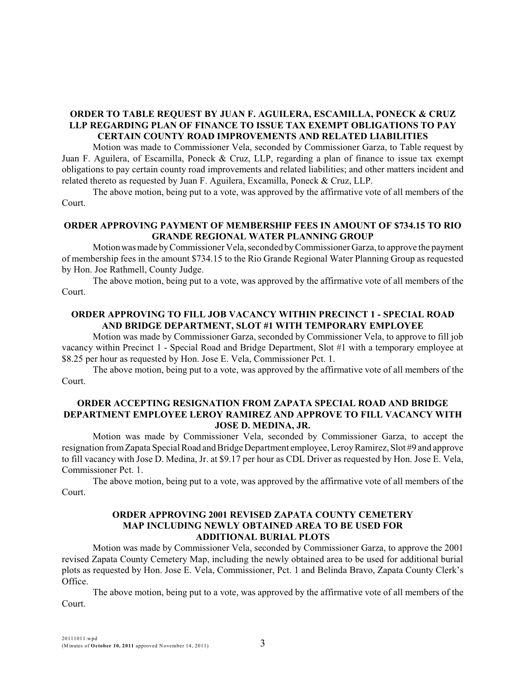# **ORDER TO TABLE REQUEST BY JUAN F. AGUILERA, ESCAMILLA, PONECK & CRUZ LLP REGARDING PLAN OF FINANCE TO ISSUE TAX EXEMPT OBLIGATIONS TO PAY CERTAIN COUNTY ROAD IMPROVEMENTS AND RELATED LIABILITIES**

Motion was made to Commissioner Vela, seconded by Commissioner Garza, to Table request by Juan F. Aguilera, of Escamilla, Poneck & Cruz, LLP, regarding a plan of finance to issue tax exempt obligations to pay certain county road improvements and related liabilities; and other matters incident and related thereto as requested by Juan F. Aguilera, Excamilla, Poneck & Cruz, LLP.

The above motion, being put to a vote, was approved by the affirmative vote of all members of the Court.

### **ORDER APPROVING PAYMENT OF MEMBERSHIP FEES IN AMOUNT OF \$734.15 TO RIO GRANDE REGIONAL WATER PLANNING GROUP**

Motionwasmade by Commissioner Vela, seconded by Commissioner Garza, to approve the payment of membership fees in the amount \$734.15 to the Rio Grande Regional Water Planning Group as requested by Hon. Joe Rathmell, County Judge.

The above motion, being put to a vote, was approved by the affirmative vote of all members of the Court.

### **ORDER APPROVING TO FILL JOB VACANCY WITHIN PRECINCT 1 - SPECIAL ROAD AND BRIDGE DEPARTMENT, SLOT #1 WITH TEMPORARY EMPLOYEE**

Motion was made by Commissioner Garza, seconded by Commissioner Vela, to approve to fill job vacancy within Precinct 1 - Special Road and Bridge Department, Slot #1 with a temporary employee at \$8.25 per hour as requested by Hon. Jose E. Vela, Commissioner Pct. 1.

The above motion, being put to a vote, was approved by the affirmative vote of all members of the Court.

### **ORDER ACCEPTING RESIGNATION FROM ZAPATA SPECIAL ROAD AND BRIDGE DEPARTMENT EMPLOYEE LEROY RAMIREZ AND APPROVE TO FILL VACANCY WITH JOSE D. MEDINA, JR.**

Motion was made by Commissioner Vela, seconded by Commissioner Garza, to accept the resignation from Zapata Special Road and Bridge Department employee, Leroy Ramirez, Slot #9 and approve to fill vacancy with Jose D. Medina, Jr. at \$9.17 per hour as CDL Driver as requested by Hon. Jose E. Vela, Commissioner Pct. 1.

The above motion, being put to a vote, was approved by the affirmative vote of all members of the Court.

#### **ORDER APPROVING 2001 REVISED ZAPATA COUNTY CEMETERY MAP INCLUDING NEWLY OBTAINED AREA TO BE USED FOR ADDITIONAL BURIAL PLOTS**

Motion was made by Commissioner Vela, seconded by Commissioner Garza, to approve the 2001 revised Zapata County Cemetery Map, including the newly obtained area to be used for additional burial plots as requested by Hon. Jose E. Vela, Commissioner, Pct. 1 and Belinda Bravo, Zapata County Clerk's Office.

The above motion, being put to a vote, was approved by the affirmative vote of all members of the Court.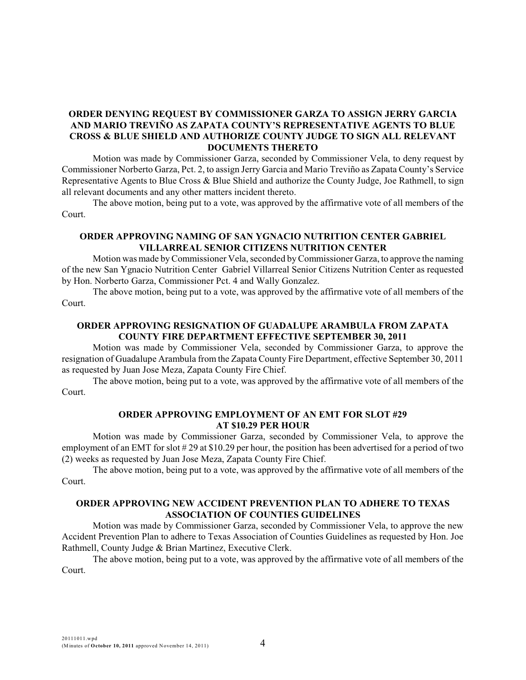# **ORDER DENYING REQUEST BY COMMISSIONER GARZA TO ASSIGN JERRY GARCIA AND MARIO TREVIÑO AS ZAPATA COUNTY'S REPRESENTATIVE AGENTS TO BLUE CROSS & BLUE SHIELD AND AUTHORIZE COUNTY JUDGE TO SIGN ALL RELEVANT DOCUMENTS THERETO**

Motion was made by Commissioner Garza, seconded by Commissioner Vela, to deny request by Commissioner Norberto Garza, Pct. 2, to assign Jerry Garcia and Mario Treviño as Zapata County's Service Representative Agents to Blue Cross & Blue Shield and authorize the County Judge, Joe Rathmell, to sign all relevant documents and any other matters incident thereto.

The above motion, being put to a vote, was approved by the affirmative vote of all members of the Court.

### **ORDER APPROVING NAMING OF SAN YGNACIO NUTRITION CENTER GABRIEL VILLARREAL SENIOR CITIZENS NUTRITION CENTER**

Motion was made by Commissioner Vela, seconded by Commissioner Garza, to approve the naming of the new San Ygnacio Nutrition Center Gabriel Villarreal Senior Citizens Nutrition Center as requested by Hon. Norberto Garza, Commissioner Pct. 4 and Wally Gonzalez.

The above motion, being put to a vote, was approved by the affirmative vote of all members of the Court.

# **ORDER APPROVING RESIGNATION OF GUADALUPE ARAMBULA FROM ZAPATA COUNTY FIRE DEPARTMENT EFFECTIVE SEPTEMBER 30, 2011**

Motion was made by Commissioner Vela, seconded by Commissioner Garza, to approve the resignation of Guadalupe Arambula from the Zapata County Fire Department, effective September 30, 2011 as requested by Juan Jose Meza, Zapata County Fire Chief.

The above motion, being put to a vote, was approved by the affirmative vote of all members of the Court.

#### **ORDER APPROVING EMPLOYMENT OF AN EMT FOR SLOT #29 AT \$10.29 PER HOUR**

Motion was made by Commissioner Garza, seconded by Commissioner Vela, to approve the employment of an EMT for slot # 29 at \$10.29 per hour, the position has been advertised for a period of two (2) weeks as requested by Juan Jose Meza, Zapata County Fire Chief.

The above motion, being put to a vote, was approved by the affirmative vote of all members of the Court.

### **ORDER APPROVING NEW ACCIDENT PREVENTION PLAN TO ADHERE TO TEXAS ASSOCIATION OF COUNTIES GUIDELINES**

Motion was made by Commissioner Garza, seconded by Commissioner Vela, to approve the new Accident Prevention Plan to adhere to Texas Association of Counties Guidelines as requested by Hon. Joe Rathmell, County Judge & Brian Martinez, Executive Clerk.

The above motion, being put to a vote, was approved by the affirmative vote of all members of the Court.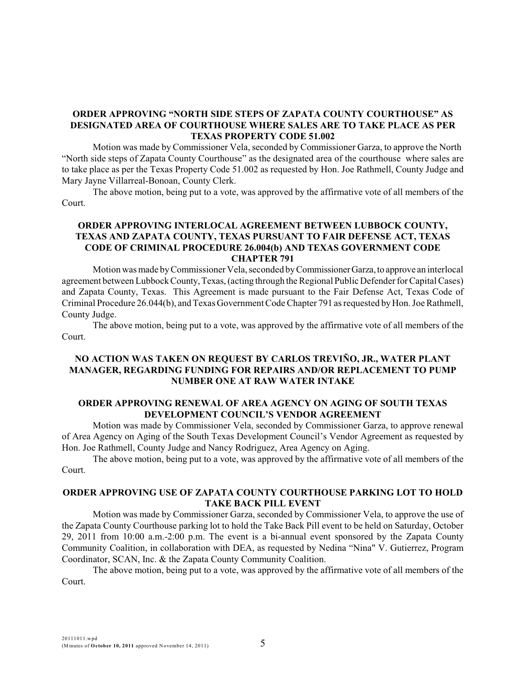# **ORDER APPROVING "NORTH SIDE STEPS OF ZAPATA COUNTY COURTHOUSE" AS DESIGNATED AREA OF COURTHOUSE WHERE SALES ARE TO TAKE PLACE AS PER TEXAS PROPERTY CODE 51.002**

Motion was made by Commissioner Vela, seconded by Commissioner Garza, to approve the North "North side steps of Zapata County Courthouse" as the designated area of the courthouse where sales are to take place as per the Texas Property Code 51.002 as requested by Hon. Joe Rathmell, County Judge and Mary Jayne Villarreal-Bonoan, County Clerk.

The above motion, being put to a vote, was approved by the affirmative vote of all members of the Court.

### **ORDER APPROVING INTERLOCAL AGREEMENT BETWEEN LUBBOCK COUNTY, TEXAS AND ZAPATA COUNTY, TEXAS PURSUANT TO FAIR DEFENSE ACT, TEXAS CODE OF CRIMINAL PROCEDURE 26.004(b) AND TEXAS GOVERNMENT CODE CHAPTER 791**

Motion was made by Commissioner Vela, seconded by CommissionerGarza,to approve an interlocal agreement between Lubbock County, Texas, (acting through the Regional Public Defender for Capital Cases) and Zapata County, Texas. This Agreement is made pursuant to the Fair Defense Act, Texas Code of Criminal Procedure 26.044(b), andTexas Government CodeChapter 791 as requested by Hon. Joe Rathmell, County Judge.

The above motion, being put to a vote, was approved by the affirmative vote of all members of the Court.

### **NO ACTION WAS TAKEN ON REQUEST BY CARLOS TREVIÑO, JR., WATER PLANT MANAGER, REGARDING FUNDING FOR REPAIRS AND/OR REPLACEMENT TO PUMP NUMBER ONE AT RAW WATER INTAKE**

### **ORDER APPROVING RENEWAL OF AREA AGENCY ON AGING OF SOUTH TEXAS DEVELOPMENT COUNCIL'S VENDOR AGREEMENT**

Motion was made by Commissioner Vela, seconded by Commissioner Garza, to approve renewal of Area Agency on Aging of the South Texas Development Council's Vendor Agreement as requested by Hon. Joe Rathmell, County Judge and Nancy Rodriguez, Area Agency on Aging.

The above motion, being put to a vote, was approved by the affirmative vote of all members of the Court.

### **ORDER APPROVING USE OF ZAPATA COUNTY COURTHOUSE PARKING LOT TO HOLD TAKE BACK PILL EVENT**

Motion was made by Commissioner Garza, seconded by Commissioner Vela, to approve the use of the Zapata County Courthouse parking lot to hold the Take Back Pill event to be held on Saturday, October 29, 2011 from 10:00 a.m.-2:00 p.m. The event is a bi-annual event sponsored by the Zapata County Community Coalition, in collaboration with DEA, as requested by Nedina "Nina" V. Gutierrez, Program Coordinator, SCAN, Inc. & the Zapata County Community Coalition.

The above motion, being put to a vote, was approved by the affirmative vote of all members of the Court.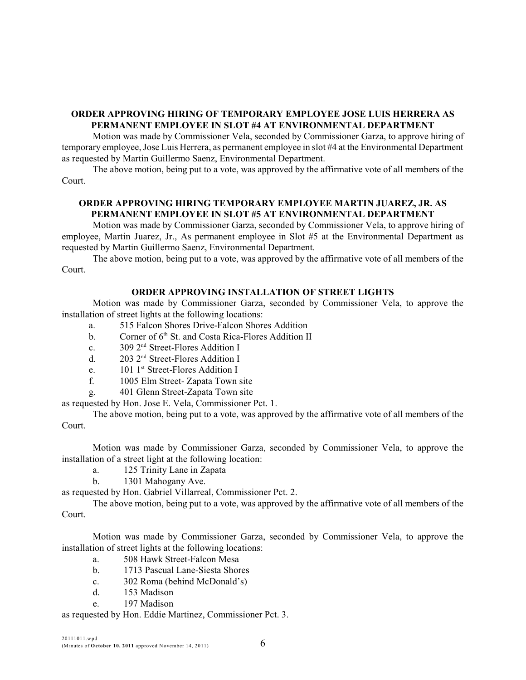### **ORDER APPROVING HIRING OF TEMPORARY EMPLOYEE JOSE LUIS HERRERA AS PERMANENT EMPLOYEE IN SLOT #4 AT ENVIRONMENTAL DEPARTMENT**

Motion was made by Commissioner Vela, seconded by Commissioner Garza, to approve hiring of temporary employee, Jose Luis Herrera, as permanent employee in slot #4 at the Environmental Department as requested by Martin Guillermo Saenz, Environmental Department.

The above motion, being put to a vote, was approved by the affirmative vote of all members of the Court.

# **ORDER APPROVING HIRING TEMPORARY EMPLOYEE MARTIN JUAREZ, JR. AS PERMANENT EMPLOYEE IN SLOT #5 AT ENVIRONMENTAL DEPARTMENT**

Motion was made by Commissioner Garza, seconded by Commissioner Vela, to approve hiring of employee, Martin Juarez, Jr., As permanent employee in Slot #5 at the Environmental Department as requested by Martin Guillermo Saenz, Environmental Department.

The above motion, being put to a vote, was approved by the affirmative vote of all members of the Court.

### **ORDER APPROVING INSTALLATION OF STREET LIGHTS**

Motion was made by Commissioner Garza, seconded by Commissioner Vela, to approve the installation of street lights at the following locations:

- a. 515 Falcon Shores Drive-Falcon Shores Addition
- b. Corner of  $6<sup>th</sup>$  St. and Costa Rica-Flores Addition II
- c.  $309 \, 2^{nd}$  Street-Flores Addition I
- d.  $203 \, 2^{nd}$  Street-Flores Addition I
- e.  $101 \, 1^{st}$  Street-Flores Addition I
- f. 1005 Elm Street- Zapata Town site
- g. 401 Glenn Street-Zapata Town site

as requested by Hon. Jose E. Vela, Commissioner Pct. 1.

The above motion, being put to a vote, was approved by the affirmative vote of all members of the Court.

Motion was made by Commissioner Garza, seconded by Commissioner Vela, to approve the installation of a street light at the following location:

- a. 125 Trinity Lane in Zapata
- b. 1301 Mahogany Ave.

as requested by Hon. Gabriel Villarreal, Commissioner Pct. 2.

The above motion, being put to a vote, was approved by the affirmative vote of all members of the Court.

Motion was made by Commissioner Garza, seconded by Commissioner Vela, to approve the installation of street lights at the following locations:

- a. 508 Hawk Street-Falcon Mesa
- b. 1713 Pascual Lane-Siesta Shores
- c. 302 Roma (behind McDonald's)
- d. 153 Madison
- e. 197 Madison

as requested by Hon. Eddie Martinez, Commissioner Pct. 3.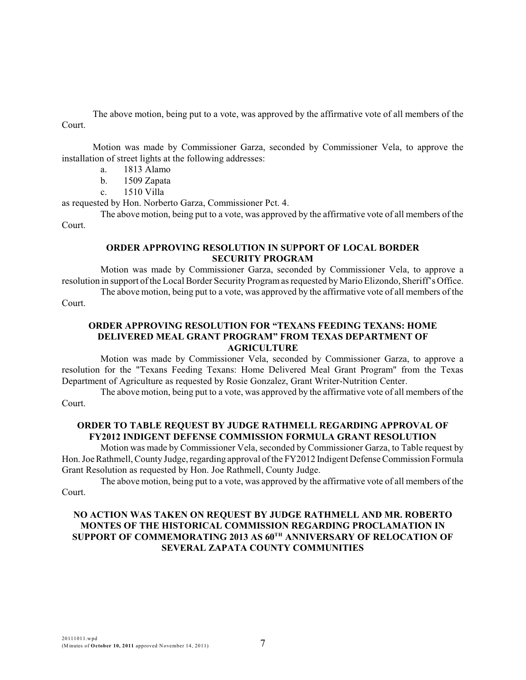The above motion, being put to a vote, was approved by the affirmative vote of all members of the Court.

Motion was made by Commissioner Garza, seconded by Commissioner Vela, to approve the installation of street lights at the following addresses:

- a. 1813 Alamo
- b. 1509 Zapata
- c. 1510 Villa

as requested by Hon. Norberto Garza, Commissioner Pct. 4.

The above motion, being put to a vote, was approved by the affirmative vote of all members of the Court.

#### **ORDER APPROVING RESOLUTION IN SUPPORT OF LOCAL BORDER SECURITY PROGRAM**

Motion was made by Commissioner Garza, seconded by Commissioner Vela, to approve a resolution in support of the Local Border Security Programas requested by Mario Elizondo, Sheriff's Office.

The above motion, being put to a vote, was approved by the affirmative vote of all members of the

Court.

### **ORDER APPROVING RESOLUTION FOR "TEXANS FEEDING TEXANS: HOME DELIVERED MEAL GRANT PROGRAM" FROM TEXAS DEPARTMENT OF AGRICULTURE**

Motion was made by Commissioner Vela, seconded by Commissioner Garza, to approve a resolution for the "Texans Feeding Texans: Home Delivered Meal Grant Program" from the Texas Department of Agriculture as requested by Rosie Gonzalez, Grant Writer-Nutrition Center.

The above motion, being put to a vote, was approved by the affirmative vote of all members of the Court.

### **ORDER TO TABLE REQUEST BY JUDGE RATHMELL REGARDING APPROVAL OF FY2012 INDIGENT DEFENSE COMMISSION FORMULA GRANT RESOLUTION**

Motion was made by Commissioner Vela, seconded by Commissioner Garza, to Table request by Hon. Joe Rathmell, County Judge, regarding approval of the FY2012 Indigent Defense Commission Formula Grant Resolution as requested by Hon. Joe Rathmell, County Judge.

The above motion, being put to a vote, was approved by the affirmative vote of all members of the Court.

# **NO ACTION WAS TAKEN ON REQUEST BY JUDGE RATHMELL AND MR. ROBERTO MONTES OF THE HISTORICAL COMMISSION REGARDING PROCLAMATION IN SUPPORT OF COMMEMORATING 2013 AS 60TH ANNIVERSARY OF RELOCATION OF SEVERAL ZAPATA COUNTY COMMUNITIES**